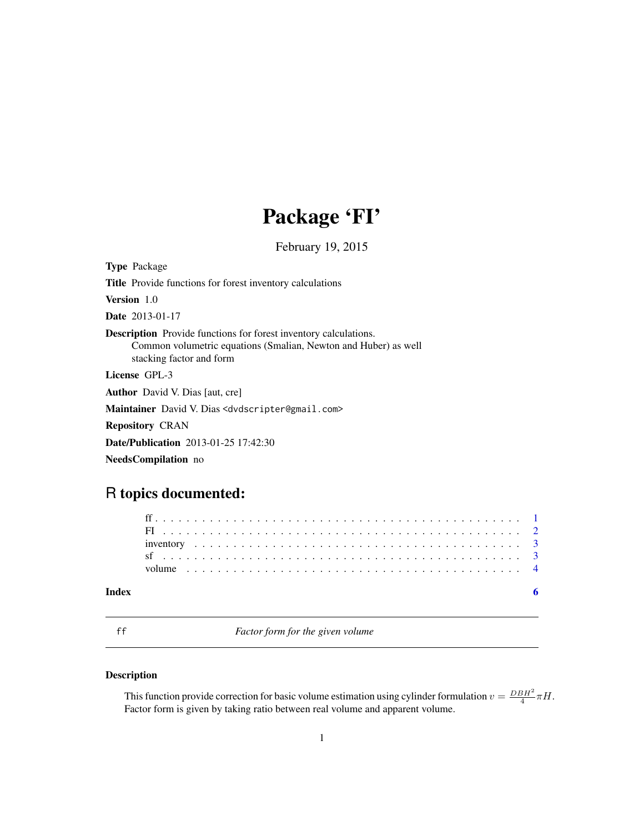# Package 'FI'

February 19, 2015

<span id="page-0-0"></span>

| <b>Type Package</b>                                                                                                                                                    |
|------------------------------------------------------------------------------------------------------------------------------------------------------------------------|
| <b>Title</b> Provide functions for forest inventory calculations                                                                                                       |
| Version 1.0                                                                                                                                                            |
| <b>Date</b> 2013-01-17                                                                                                                                                 |
| <b>Description</b> Provide functions for forest inventory calculations.<br>Common volumetric equations (Smalian, Newton and Huber) as well<br>stacking factor and form |
| License GPL-3                                                                                                                                                          |
| <b>Author</b> David V. Dias [aut. cre]                                                                                                                                 |
| Maintainer David V. Dias <dvdscripter@gmail.com></dvdscripter@gmail.com>                                                                                               |
| <b>Repository CRAN</b>                                                                                                                                                 |
| <b>Date/Publication</b> 2013-01-25 17:42:30                                                                                                                            |
| <b>NeedsCompilation</b> no                                                                                                                                             |
|                                                                                                                                                                        |

# R topics documented:

# **Index** [6](#page-5-0) **6**

<span id="page-0-1"></span>ff *Factor form for the given volume*

# Description

This function provide correction for basic volume estimation using cylinder formulation  $v = \frac{DBH^2}{4}\pi H$ . Factor form is given by taking ratio between real volume and apparent volume.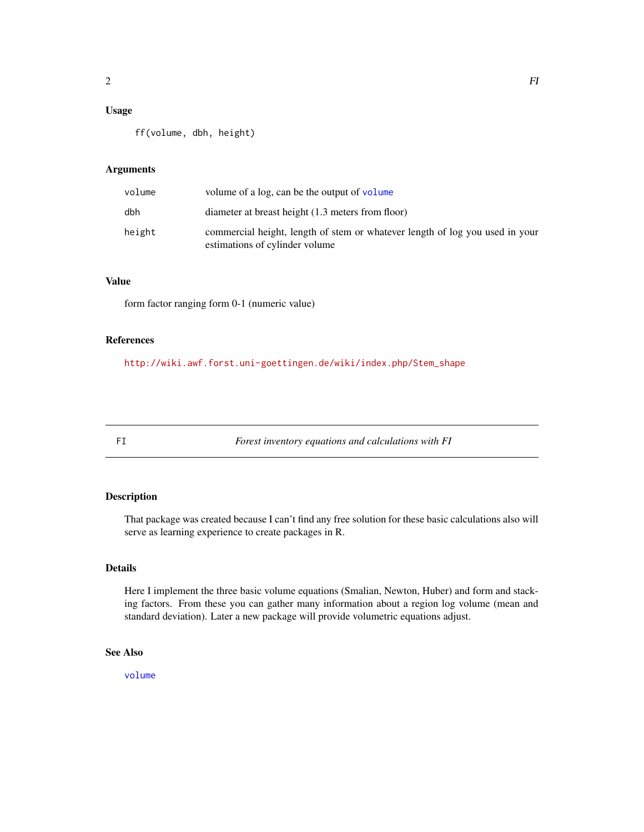# <span id="page-1-0"></span>Usage

ff(volume, dbh, height)

### Arguments

| volume | volume of a log, can be the output of volume                                                                   |
|--------|----------------------------------------------------------------------------------------------------------------|
| dbh    | diameter at breast height (1.3 meters from floor)                                                              |
| height | commercial height, length of stem or whatever length of log you used in your<br>estimations of cylinder volume |

# Value

form factor ranging form 0-1 (numeric value)

# References

[http://wiki.awf.forst.uni-goettingen.de/wiki/index.php/Stem\\_shape](http://wiki.awf.forst.uni-goettingen.de/wiki/index.php/Stem_shape)

FI *Forest inventory equations and calculations with FI*

# Description

That package was created because I can't find any free solution for these basic calculations also will serve as learning experience to create packages in R.

#### Details

Here I implement the three basic volume equations (Smalian, Newton, Huber) and form and stacking factors. From these you can gather many information about a region log volume (mean and standard deviation). Later a new package will provide volumetric equations adjust.

# See Also

[volume](#page-3-1)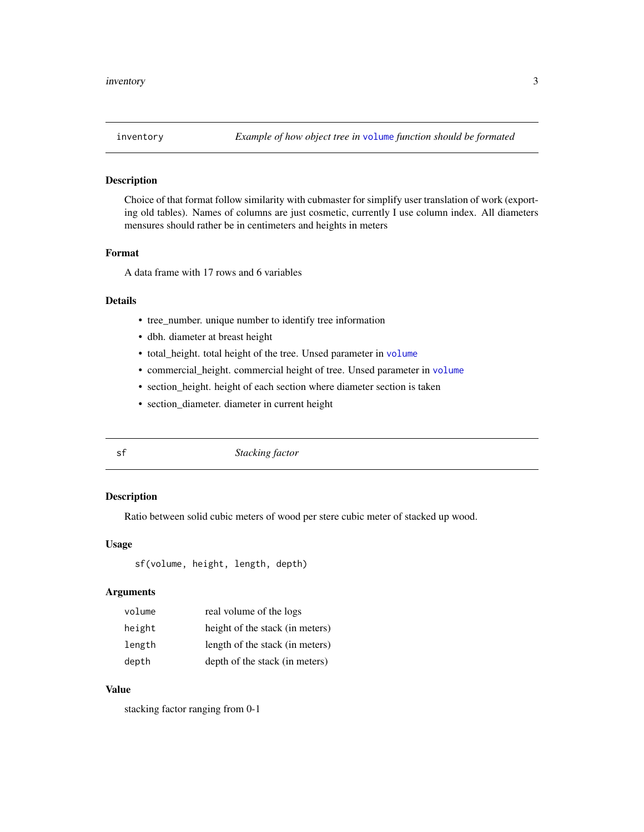#### Description

Choice of that format follow similarity with cubmaster for simplify user translation of work (exporting old tables). Names of columns are just cosmetic, currently I use column index. All diameters mensures should rather be in centimeters and heights in meters

#### Format

A data frame with 17 rows and 6 variables

# Details

- tree\_number. unique number to identify tree information
- dbh. diameter at breast height
- total\_height. total height of the tree. Unsed parameter in [volume](#page-3-1)
- commercial\_height. commercial height of tree. Unsed parameter in [volume](#page-3-1)
- section\_height. height of each section where diameter section is taken
- section\_diameter. diameter in current height

sf *Stacking factor*

### Description

Ratio between solid cubic meters of wood per stere cubic meter of stacked up wood.

# Usage

sf(volume, height, length, depth)

#### Arguments

| volume | real volume of the logs         |
|--------|---------------------------------|
| height | height of the stack (in meters) |
| length | length of the stack (in meters) |
| depth  | depth of the stack (in meters)  |

# Value

stacking factor ranging from 0-1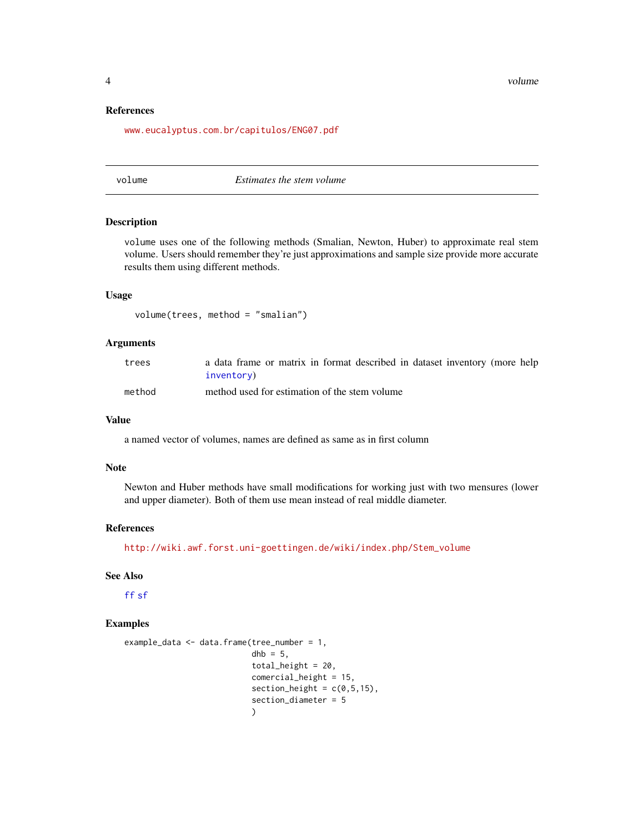4 volume

#### References

<www.eucalyptus.com.br/capitulos/ENG07.pdf>

#### <span id="page-3-1"></span>volume *Estimates the stem volume*

#### Description

volume uses one of the following methods (Smalian, Newton, Huber) to approximate real stem volume. Users should remember they're just approximations and sample size provide more accurate results them using different methods.

# Usage

```
volume(trees, method = "smalian")
```
#### Arguments

| trees  | a data frame or matrix in format described in dataset inventory (more help |
|--------|----------------------------------------------------------------------------|
|        | inventory)                                                                 |
| method | method used for estimation of the stem volume                              |

### Value

a named vector of volumes, names are defined as same as in first column

### Note

Newton and Huber methods have small modifications for working just with two mensures (lower and upper diameter). Both of them use mean instead of real middle diameter.

# References

[http://wiki.awf.forst.uni-goettingen.de/wiki/index.php/Stem\\_volume](http://wiki.awf.forst.uni-goettingen.de/wiki/index.php/Stem_volume)

#### See Also

[ff](#page-0-1) [sf](#page-2-2)

### Examples

```
example_data <- data.frame(tree_number = 1,
                dhb = 5,
                total_height = 20,
                comercial_height = 15,
                section_height = c(0,5,15),
                section_diameter = 5
                \lambda
```
<span id="page-3-0"></span>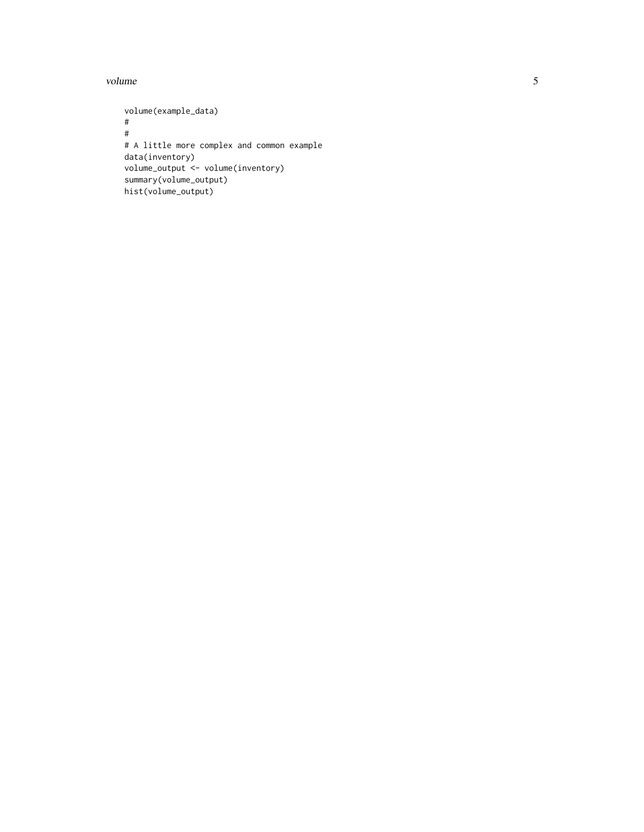volume

volume(example\_data) ## # A little more complex and common example data(inventory) volume\_output <- volume(inventory) summary(volume\_output) hist(volume\_output)